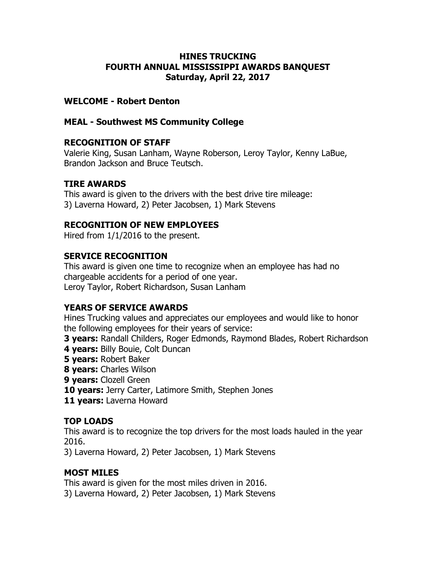#### HINES TRUCKING FOURTH ANNUAL MISSISSIPPI AWARDS BANQUEST Saturday, April 22, 2017

#### WELCOME - Robert Denton

#### MEAL - Southwest MS Community College

#### RECOGNITION OF STAFF

Valerie King, Susan Lanham, Wayne Roberson, Leroy Taylor, Kenny LaBue, Brandon Jackson and Bruce Teutsch.

### TIRE AWARDS

This award is given to the drivers with the best drive tire mileage: 3) Laverna Howard, 2) Peter Jacobsen, 1) Mark Stevens

#### RECOGNITION OF NEW EMPLOYEES

Hired from 1/1/2016 to the present.

#### SERVICE RECOGNITION

This award is given one time to recognize when an employee has had no chargeable accidents for a period of one year. Leroy Taylor, Robert Richardson, Susan Lanham

#### YEARS OF SERVICE AWARDS

Hines Trucking values and appreciates our employees and would like to honor the following employees for their years of service:

- **3 years:** Randall Childers, Roger Edmonds, Raymond Blades, Robert Richardson
- 4 years: Billy Bouie, Colt Duncan
- **5 years: Robert Baker**
- 8 years: Charles Wilson
- 9 years: Clozell Green
- 10 years: Jerry Carter, Latimore Smith, Stephen Jones
- 11 years: Laverna Howard

### TOP LOADS

This award is to recognize the top drivers for the most loads hauled in the year 2016.

3) Laverna Howard, 2) Peter Jacobsen, 1) Mark Stevens

### MOST MILES

This award is given for the most miles driven in 2016. 3) Laverna Howard, 2) Peter Jacobsen, 1) Mark Stevens